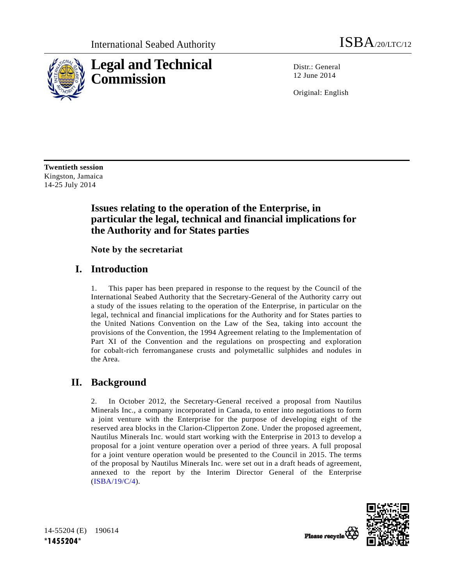

Distr.: General 12 June 2014

Original: English

**Twentieth session**  Kingston, Jamaica 14-25 July 2014

# **Issues relating to the operation of the Enterprise, in particular the legal, technical and financial implications for the Authority and for States parties**

 **Note by the secretariat** 

## **I. Introduction**

1. This paper has been prepared in response to the request by the Council of the International Seabed Authority that the Secretary-General of the Authority carry out a study of the issues relating to the operation of the Enterprise, in particular on the legal, technical and financial implications for the Authority and for States parties to the United Nations Convention on the Law of the Sea, taking into account the provisions of the Convention, the 1994 Agreement relating to the Implementation of Part XI of the Convention and the regulations on prospecting and exploration for cobalt-rich ferromanganese crusts and polymetallic sulphides and nodules in the Area.

# **II. Background**

2. In October 2012, the Secretary-General received a proposal from Nautilus Minerals Inc., a company incorporated in Canada, to enter into negotiations to form a joint venture with the Enterprise for the purpose of developing eight of the reserved area blocks in the Clarion-Clipperton Zone. Under the proposed agreement, Nautilus Minerals Inc. would start working with the Enterprise in 2013 to develop a proposal for a joint venture operation over a period of three years. A full proposal for a joint venture operation would be presented to the Council in 2015. The terms of the proposal by Nautilus Minerals Inc. were set out in a draft heads of agreement, annexed to the report by the Interim Director General of the Enterprise (ISBA/19/C/4).



14-55204 (E) 190614 **\*1455204\***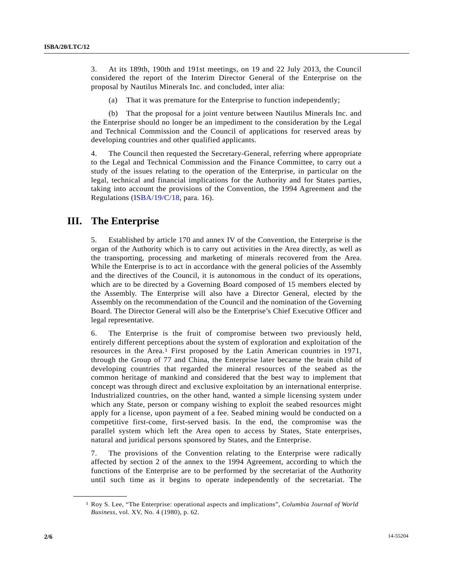3. At its 189th, 190th and 191st meetings, on 19 and 22 July 2013, the Council considered the report of the Interim Director General of the Enterprise on the proposal by Nautilus Minerals Inc. and concluded, inter alia:

(a) That it was premature for the Enterprise to function independently;

 (b) That the proposal for a joint venture between Nautilus Minerals Inc. and the Enterprise should no longer be an impediment to the consideration by the Legal and Technical Commission and the Council of applications for reserved areas by developing countries and other qualified applicants.

4. The Council then requested the Secretary-General, referring where appropriate to the Legal and Technical Commission and the Finance Committee, to carry out a study of the issues relating to the operation of the Enterprise, in particular on the legal, technical and financial implications for the Authority and for States parties, taking into account the provisions of the Convention, the 1994 Agreement and the Regulations (ISBA/19/C/18, para. 16).

## **III. The Enterprise**

5. Established by article 170 and annex IV of the Convention, the Enterprise is the organ of the Authority which is to carry out activities in the Area directly, as well as the transporting, processing and marketing of minerals recovered from the Area. While the Enterprise is to act in accordance with the general policies of the Assembly and the directives of the Council, it is autonomous in the conduct of its operations, which are to be directed by a Governing Board composed of 15 members elected by the Assembly. The Enterprise will also have a Director General, elected by the Assembly on the recommendation of the Council and the nomination of the Governing Board. The Director General will also be the Enterprise's Chief Executive Officer and legal representative.

6. The Enterprise is the fruit of compromise between two previously held, entirely different perceptions about the system of exploration and exploitation of the resources in the Area.1 First proposed by the Latin American countries in 1971, through the Group of 77 and China, the Enterprise later became the brain child of developing countries that regarded the mineral resources of the seabed as the common heritage of mankind and considered that the best way to implement that concept was through direct and exclusive exploitation by an international enterprise. Industrialized countries, on the other hand, wanted a simple licensing system under which any State, person or company wishing to exploit the seabed resources might apply for a license, upon payment of a fee. Seabed mining would be conducted on a competitive first-come, first-served basis. In the end, the compromise was the parallel system which left the Area open to access by States, State enterprises, natural and juridical persons sponsored by States, and the Enterprise.

7. The provisions of the Convention relating to the Enterprise were radically affected by section 2 of the annex to the 1994 Agreement, according to which the functions of the Enterprise are to be performed by the secretariat of the Authority until such time as it begins to operate independently of the secretariat. The

**\_\_\_\_\_\_\_\_\_\_\_\_\_\_\_\_\_\_** 

<sup>1</sup> Roy S. Lee, "The Enterprise: operational aspects and implications", *Columbia Journal of World Business*, vol. XV, No. 4 (1980), p. 62.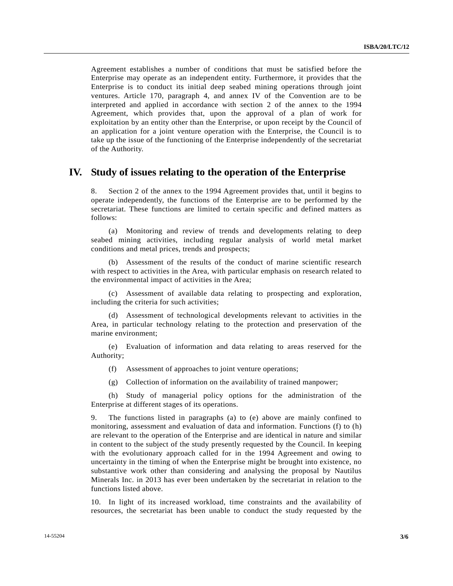Agreement establishes a number of conditions that must be satisfied before the Enterprise may operate as an independent entity. Furthermore, it provides that the Enterprise is to conduct its initial deep seabed mining operations through joint ventures. Article 170, paragraph 4, and annex IV of the Convention are to be interpreted and applied in accordance with section 2 of the annex to the 1994 Agreement, which provides that, upon the approval of a plan of work for exploitation by an entity other than the Enterprise, or upon receipt by the Council of an application for a joint venture operation with the Enterprise, the Council is to take up the issue of the functioning of the Enterprise independently of the secretariat of the Authority.

#### **IV. Study of issues relating to the operation of the Enterprise**

8. Section 2 of the annex to the 1994 Agreement provides that, until it begins to operate independently, the functions of the Enterprise are to be performed by the secretariat. These functions are limited to certain specific and defined matters as follows:

 (a) Monitoring and review of trends and developments relating to deep seabed mining activities, including regular analysis of world metal market conditions and metal prices, trends and prospects;

 (b) Assessment of the results of the conduct of marine scientific research with respect to activities in the Area, with particular emphasis on research related to the environmental impact of activities in the Area;

 (c) Assessment of available data relating to prospecting and exploration, including the criteria for such activities;

 (d) Assessment of technological developments relevant to activities in the Area, in particular technology relating to the protection and preservation of the marine environment;

 (e) Evaluation of information and data relating to areas reserved for the Authority;

- (f) Assessment of approaches to joint venture operations;
- (g) Collection of information on the availability of trained manpower;

 (h) Study of managerial policy options for the administration of the Enterprise at different stages of its operations.

9. The functions listed in paragraphs (a) to (e) above are mainly confined to monitoring, assessment and evaluation of data and information. Functions (f) to (h) are relevant to the operation of the Enterprise and are identical in nature and similar in content to the subject of the study presently requested by the Council. In keeping with the evolutionary approach called for in the 1994 Agreement and owing to uncertainty in the timing of when the Enterprise might be brought into existence, no substantive work other than considering and analysing the proposal by Nautilus Minerals Inc. in 2013 has ever been undertaken by the secretariat in relation to the functions listed above.

10. In light of its increased workload, time constraints and the availability of resources, the secretariat has been unable to conduct the study requested by the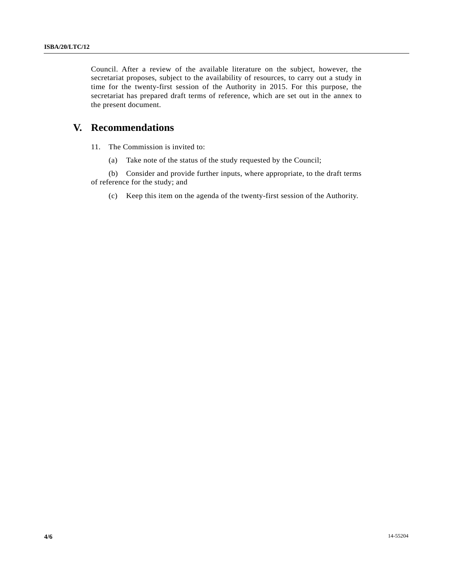Council. After a review of the available literature on the subject, however, the secretariat proposes, subject to the availability of resources, to carry out a study in time for the twenty-first session of the Authority in 2015. For this purpose, the secretariat has prepared draft terms of reference, which are set out in the annex to the present document.

## **V. Recommendations**

11. The Commission is invited to:

(a) Take note of the status of the study requested by the Council;

 (b) Consider and provide further inputs, where appropriate, to the draft terms of reference for the study; and

(c) Keep this item on the agenda of the twenty-first session of the Authority.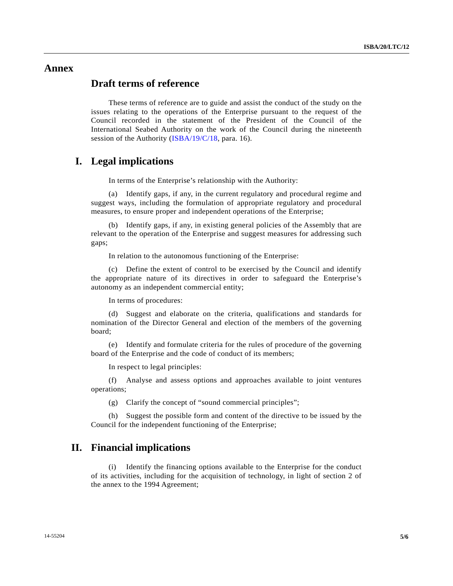#### **Annex**

## **Draft terms of reference**

 These terms of reference are to guide and assist the conduct of the study on the issues relating to the operations of the Enterprise pursuant to the request of the Council recorded in the statement of the President of the Council of the International Seabed Authority on the work of the Council during the nineteenth session of the Authority (ISBA/19/C/18, para. 16).

#### **I. Legal implications**

In terms of the Enterprise's relationship with the Authority:

 (a) Identify gaps, if any, in the current regulatory and procedural regime and suggest ways, including the formulation of appropriate regulatory and procedural measures, to ensure proper and independent operations of the Enterprise;

 (b) Identify gaps, if any, in existing general policies of the Assembly that are relevant to the operation of the Enterprise and suggest measures for addressing such gaps;

In relation to the autonomous functioning of the Enterprise:

 (c) Define the extent of control to be exercised by the Council and identify the appropriate nature of its directives in order to safeguard the Enterprise's autonomy as an independent commercial entity;

In terms of procedures:

 (d) Suggest and elaborate on the criteria, qualifications and standards for nomination of the Director General and election of the members of the governing board;

 (e) Identify and formulate criteria for the rules of procedure of the governing board of the Enterprise and the code of conduct of its members;

In respect to legal principles:

 (f) Analyse and assess options and approaches available to joint ventures operations;

(g) Clarify the concept of "sound commercial principles";

 (h) Suggest the possible form and content of the directive to be issued by the Council for the independent functioning of the Enterprise;

#### **II. Financial implications**

 (i) Identify the financing options available to the Enterprise for the conduct of its activities, including for the acquisition of technology, in light of section 2 of the annex to the 1994 Agreement;